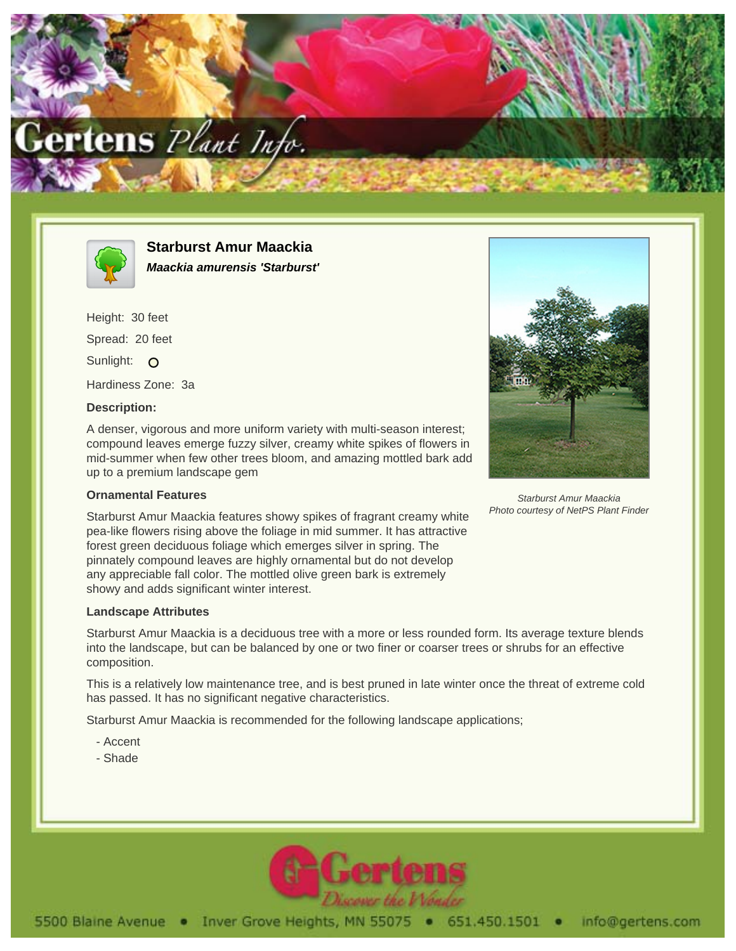



**Starburst Amur Maackia Maackia amurensis 'Starburst'**

Height: 30 feet Spread: 20 feet Sunlight: O Hardiness Zone: 3a

## **Description:**

A denser, vigorous and more uniform variety with multi-season interest; compound leaves emerge fuzzy silver, creamy white spikes of flowers in mid-summer when few other trees bloom, and amazing mottled bark add up to a premium landscape gem

## **Ornamental Features**

Starburst Amur Maackia Photo courtesy of NetPS Plant Finder

Starburst Amur Maackia features showy spikes of fragrant creamy white pea-like flowers rising above the foliage in mid summer. It has attractive forest green deciduous foliage which emerges silver in spring. The pinnately compound leaves are highly ornamental but do not develop any appreciable fall color. The mottled olive green bark is extremely showy and adds significant winter interest.

## **Landscape Attributes**

Starburst Amur Maackia is a deciduous tree with a more or less rounded form. Its average texture blends into the landscape, but can be balanced by one or two finer or coarser trees or shrubs for an effective composition.

This is a relatively low maintenance tree, and is best pruned in late winter once the threat of extreme cold has passed. It has no significant negative characteristics.

Starburst Amur Maackia is recommended for the following landscape applications;

- Accent
- Shade